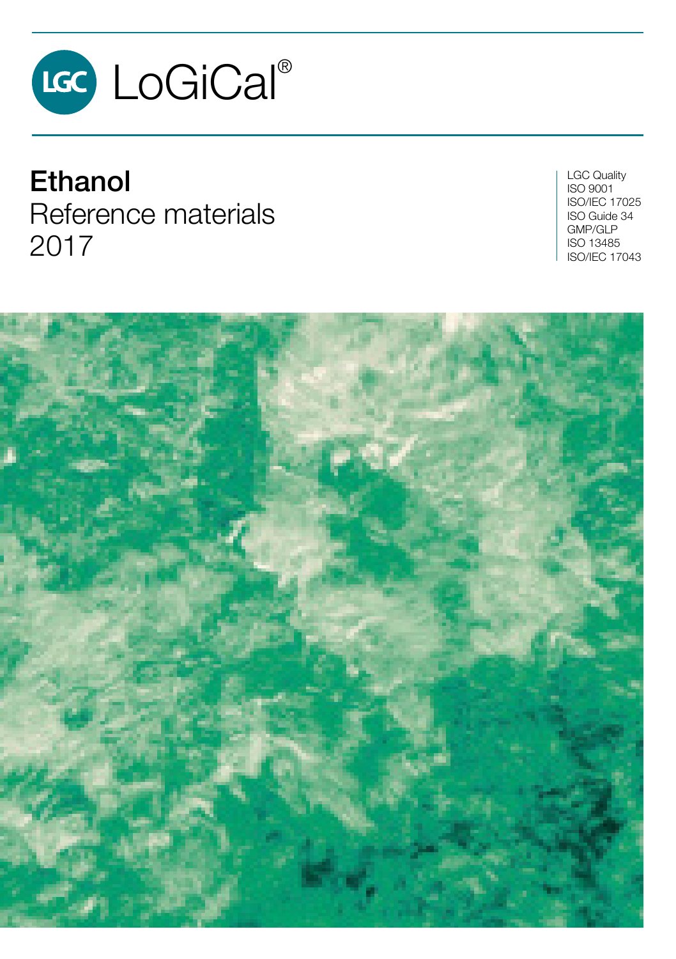

**Ethanol** Reference materials 2017

LGC Quality ISO 9001 ISO/IEC 17025 ISO Guide 34 GMP/GLP ISO 13485 ISO/IEC 17043

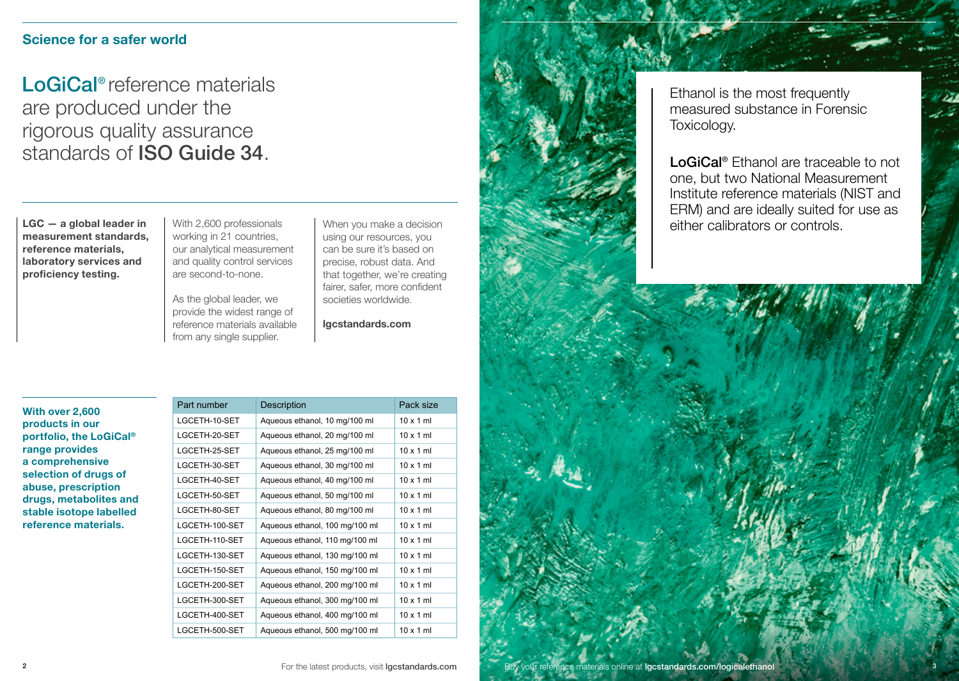## **Science for a safer world**

LoGiCal<sup>®</sup> reference materials are produced under the rigorous quality assurance standards of ISO Guide 34.

**LGC — a global leader in measurement standards, reference materials, laboratory services and proficiency testing.**

With 2,600 professionals working in 21 countries, our analytical measurement and quality control services are second-to-none.

As the global leader, we provide the widest range of reference materials available from any single supplier.

When you make a decision using our resources, you can be sure it's based on precise, robust data. And that together, we're creating fairer, safer, more confident societies worldwide.

**lgcstandards.com**

**With over 2,600 products in our portfolio, the LoGiCal® range provides a comprehensive selection of drugs of abuse, prescription drugs, metabolites and stable isotope labelled reference materials.** 

| Part number    | Description                    | Pack size        |
|----------------|--------------------------------|------------------|
| LGCETH-10-SET  | Aqueous ethanol, 10 mg/100 ml  | $10 \times 1$ ml |
| LGCETH-20-SET  | Aqueous ethanol, 20 mg/100 ml  | $10 \times 1$ ml |
| LGCETH-25-SET  | Aqueous ethanol, 25 mg/100 ml  | $10 \times 1$ ml |
| LGCETH-30-SET  | Aqueous ethanol, 30 mg/100 ml  | $10 \times 1$ ml |
| LGCETH-40-SET  | Aqueous ethanol, 40 mg/100 ml  | $10 \times 1$ ml |
| LGCETH-50-SET  | Aqueous ethanol, 50 mg/100 ml  | $10 \times 1$ ml |
| LGCETH-80-SET  | Aqueous ethanol, 80 mg/100 ml  | $10 \times 1$ ml |
| LGCETH-100-SET | Aqueous ethanol, 100 mg/100 ml | $10 \times 1$ ml |
| LGCETH-110-SET | Aqueous ethanol, 110 mg/100 ml | $10 \times 1$ ml |
| LGCETH-130-SET | Aqueous ethanol, 130 mg/100 ml | $10 \times 1$ ml |
| LGCETH-150-SET | Aqueous ethanol, 150 mg/100 ml | $10 \times 1$ ml |
| LGCETH-200-SET | Aqueous ethanol, 200 mg/100 ml | $10 \times 1$ ml |
| LGCETH-300-SET | Aqueous ethanol, 300 mg/100 ml | $10 \times 1$ ml |
| LGCETH-400-SET | Aqueous ethanol, 400 mg/100 ml | $10 \times 1$ ml |
| LGCETH-500-SET | Aqueous ethanol, 500 mg/100 ml | $10 \times 1$ ml |



Ethanol is the most frequently measured substance in Forensic Toxicology.

LoGiCal<sup>®</sup> Ethanol are traceable to not one, but two National Measurement Institute reference materials (NIST and ERM) and are ideally suited for use as either calibrators or controls.